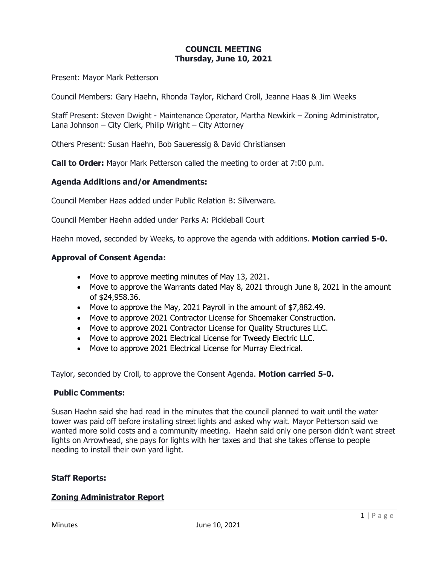# **COUNCIL MEETING Thursday, June 10, 2021**

Present: Mayor Mark Petterson

Council Members: Gary Haehn, Rhonda Taylor, Richard Croll, Jeanne Haas & Jim Weeks

Staff Present: Steven Dwight - Maintenance Operator, Martha Newkirk – Zoning Administrator, Lana Johnson – City Clerk, Philip Wright – City Attorney

Others Present: Susan Haehn, Bob Saueressig & David Christiansen

**Call to Order:** Mayor Mark Petterson called the meeting to order at 7:00 p.m.

### **Agenda Additions and/or Amendments:**

Council Member Haas added under Public Relation B: Silverware.

Council Member Haehn added under Parks A: Pickleball Court

Haehn moved, seconded by Weeks, to approve the agenda with additions. **Motion carried 5-0.**

### **Approval of Consent Agenda:**

- Move to approve meeting minutes of May 13, 2021.
- Move to approve the Warrants dated May 8, 2021 through June 8, 2021 in the amount of \$24,958.36.
- Move to approve the May, 2021 Payroll in the amount of \$7,882.49.
- Move to approve 2021 Contractor License for Shoemaker Construction.
- Move to approve 2021 Contractor License for Quality Structures LLC.
- Move to approve 2021 Electrical License for Tweedy Electric LLC.
- Move to approve 2021 Electrical License for Murray Electrical.

Taylor, seconded by Croll, to approve the Consent Agenda. **Motion carried 5-0.**

### **Public Comments:**

Susan Haehn said she had read in the minutes that the council planned to wait until the water tower was paid off before installing street lights and asked why wait. Mayor Petterson said we wanted more solid costs and a community meeting. Haehn said only one person didn't want street lights on Arrowhead, she pays for lights with her taxes and that she takes offense to people needing to install their own yard light.

### **Staff Reports:**

### **Zoning Administrator Report**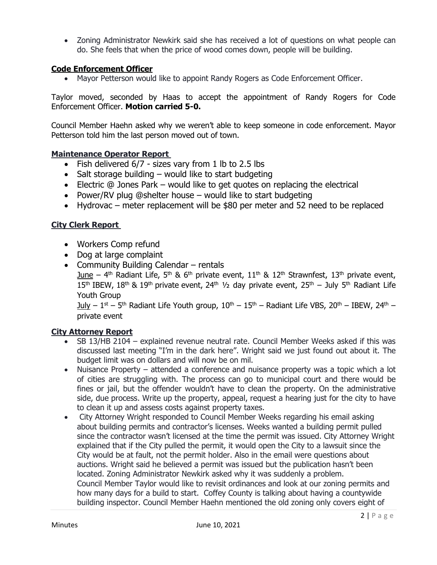• Zoning Administrator Newkirk said she has received a lot of questions on what people can do. She feels that when the price of wood comes down, people will be building.

# **Code Enforcement Officer**

• Mayor Petterson would like to appoint Randy Rogers as Code Enforcement Officer.

Taylor moved, seconded by Haas to accept the appointment of Randy Rogers for Code Enforcement Officer. **Motion carried 5-0.**

Council Member Haehn asked why we weren't able to keep someone in code enforcement. Mayor Petterson told him the last person moved out of town.

# **Maintenance Operator Report**

- Fish delivered 6/7 sizes vary from 1 lb to 2.5 lbs
- Salt storage building  $-$  would like to start budgeting
- Electric @ Jones Park would like to get quotes on replacing the electrical
- Power/RV plug @shelter house would like to start budgeting
- Hydrovac meter replacement will be \$80 per meter and 52 need to be replaced

# **City Clerk Report**

- Workers Comp refund
- Dog at large complaint
- Community Building Calendar rentals June – 4<sup>th</sup> Radiant Life, 5<sup>th</sup> & 6<sup>th</sup> private event, 11<sup>th</sup> & 12<sup>th</sup> Strawnfest, 13<sup>th</sup> private event, 15<sup>th</sup> IBEW, 18<sup>th</sup> & 19<sup>th</sup> private event, 24<sup>th</sup> 1/<sub>2</sub> day private event, 25<sup>th</sup> – July 5<sup>th</sup> Radiant Life Youth Group

<u>July</u> – 1<sup>st</sup> – 5<sup>th</sup> Radiant Life Youth group, 10<sup>th</sup> – 15<sup>th</sup> – Radiant Life VBS, 20<sup>th</sup> – IBEW, 24<sup>th</sup> – private event

# **City Attorney Report**

- SB 13/HB 2104 explained revenue neutral rate. Council Member Weeks asked if this was discussed last meeting "I'm in the dark here". Wright said we just found out about it. The budget limit was on dollars and will now be on mil.
- Nuisance Property attended a conference and nuisance property was a topic which a lot of cities are struggling with. The process can go to municipal court and there would be fines or jail, but the offender wouldn't have to clean the property. On the administrative side, due process. Write up the property, appeal, request a hearing just for the city to have to clean it up and assess costs against property taxes.
- City Attorney Wright responded to Council Member Weeks regarding his email asking about building permits and contractor's licenses. Weeks wanted a building permit pulled since the contractor wasn't licensed at the time the permit was issued. City Attorney Wright explained that if the City pulled the permit, it would open the City to a lawsuit since the City would be at fault, not the permit holder. Also in the email were questions about auctions. Wright said he believed a permit was issued but the publication hasn't been located. Zoning Administrator Newkirk asked why it was suddenly a problem. Council Member Taylor would like to revisit ordinances and look at our zoning permits and how many days for a build to start. Coffey County is talking about having a countywide building inspector. Council Member Haehn mentioned the old zoning only covers eight of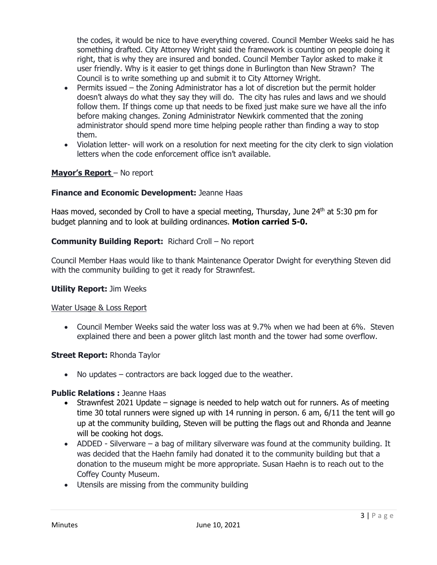the codes, it would be nice to have everything covered. Council Member Weeks said he has something drafted. City Attorney Wright said the framework is counting on people doing it right, that is why they are insured and bonded. Council Member Taylor asked to make it user friendly. Why is it easier to get things done in Burlington than New Strawn? The Council is to write something up and submit it to City Attorney Wright.

- Permits issued the Zoning Administrator has a lot of discretion but the permit holder doesn't always do what they say they will do. The city has rules and laws and we should follow them. If things come up that needs to be fixed just make sure we have all the info before making changes. Zoning Administrator Newkirk commented that the zoning administrator should spend more time helping people rather than finding a way to stop them.
- Violation letter- will work on a resolution for next meeting for the city clerk to sign violation letters when the code enforcement office isn't available.

# **Mayor's Report** – No report

### **Finance and Economic Development:** Jeanne Haas

Haas moved, seconded by Croll to have a special meeting, Thursday, June  $24<sup>th</sup>$  at 5:30 pm for budget planning and to look at building ordinances. **Motion carried 5-0.**

### **Community Building Report:** Richard Croll – No report

Council Member Haas would like to thank Maintenance Operator Dwight for everything Steven did with the community building to get it ready for Strawnfest.

#### **Utility Report:** Jim Weeks

#### Water Usage & Loss Report

• Council Member Weeks said the water loss was at 9.7% when we had been at 6%. Steven explained there and been a power glitch last month and the tower had some overflow.

### **Street Report: Rhonda Taylor**

• No updates – contractors are back logged due to the weather.

### **Public Relations :** Jeanne Haas

- Strawnfest 2021 Update signage is needed to help watch out for runners. As of meeting time 30 total runners were signed up with 14 running in person. 6 am, 6/11 the tent will go up at the community building, Steven will be putting the flags out and Rhonda and Jeanne will be cooking hot dogs.
- ADDED Silverware a bag of military silverware was found at the community building. It was decided that the Haehn family had donated it to the community building but that a donation to the museum might be more appropriate. Susan Haehn is to reach out to the Coffey County Museum.
- Utensils are missing from the community building